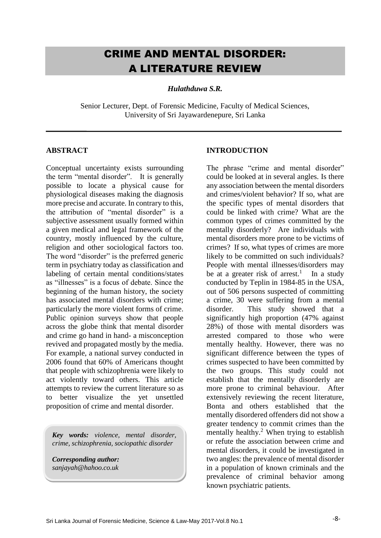# CRIME AND MENTAL DISORDER: A LITERATURE REVIEW

*Hulathduwa S.R.*

Senior Lecturer, Dept. of Forensic Medicine, Faculty of Medical Sciences, University of Sri Jayawardenepure, Sri Lanka

#### **ABSTRACT**

Conceptual uncertainty exists surrounding the term "mental disorder". It is generally possible to locate a physical cause for physiological diseases making the diagnosis more precise and accurate. In contrary to this, the attribution of "mental disorder" is a subjective assessment usually formed within a given medical and legal framework of the country, mostly influenced by the culture, religion and other sociological factors too. The word "disorder" is the preferred generic term in psychiatry today as classification and labeling of certain mental conditions/states as "illnesses" is a focus of debate. Since the beginning of the human history, the society has associated mental disorders with crime; particularly the more violent forms of crime. Public opinion surveys show that people across the globe think that mental disorder and crime go hand in hand- a misconception revived and propagated mostly by the media. For example, a national survey conducted in 2006 found that 60% of Americans thought that people with schizophrenia were likely to act violently toward others. This article attempts to review the current literature so as to better visualize the yet unsettled proposition of crime and mental disorder.

*Key words: violence, mental disorder, crime, schizophrenia, sociopathic disorder*

*Corresponding author: sanjayah@hahoo.co.uk*

#### **INTRODUCTION**

The phrase "crime and mental disorder" could be looked at in several angles. Is there any association between the mental disorders and crimes/violent behavior? If so, what are the specific types of mental disorders that could be linked with crime? What are the common types of crimes committed by the mentally disorderly? Are individuals with mental disorders more prone to be victims of crimes? If so, what types of crimes are more likely to be committed on such individuals? People with mental illnesses/disorders may be at a greater risk of arrest.<sup>1</sup> In a study conducted by Teplin in 1984-85 in the USA, out of 506 persons suspected of committing a crime, 30 were suffering from a mental disorder. This study showed that a significantly high proportion (47% against 28%) of those with mental disorders was arrested compared to those who were mentally healthy. However, there was no significant difference between the types of crimes suspected to have been committed by the two groups. This study could not establish that the mentally disorderly are more prone to criminal behaviour. After extensively reviewing the recent literature, Bonta and others established that the mentally disordered offenders did not show a greater tendency to commit crimes than the mentally healthy.<sup>2</sup> When trying to establish or refute the association between crime and mental disorders, it could be investigated in two angles: the prevalence of mental disorder in a population of known criminals and the prevalence of criminal behavior among known psychiatric patients.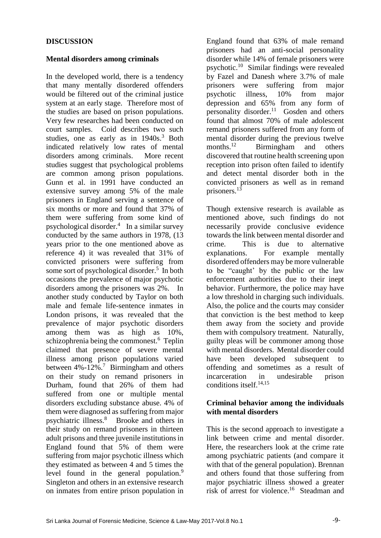# **DISCUSSION**

#### **Mental disorders among criminals**

In the developed world, there is a tendency that many mentally disordered offenders would be filtered out of the criminal justice system at an early stage. Therefore most of the studies are based on prison populations. Very few researches had been conducted on court samples. Coid describes two such studies, one as early as in 1940s.<sup>3</sup> Both indicated relatively low rates of mental disorders among criminals. More recent studies suggest that psychological problems are common among prison populations. Gunn et al. in 1991 have conducted an extensive survey among 5% of the male prisoners in England serving a sentence of six months or more and found that 37% of them were suffering from some kind of psychological disorder.<sup>4</sup> In a similar survey conducted by the same authors in 1978, (13 years prior to the one mentioned above as reference 4) it was revealed that 31% of convicted prisoners were suffering from some sort of psychological disorder.<sup>5</sup> In both occasions the prevalence of major psychotic disorders among the prisoners was 2%. In another study conducted by Taylor on both male and female life-sentence inmates in London prisons, it was revealed that the prevalence of major psychotic disorders among them was as high as 10%, schizophrenia being the commonest.<sup>6</sup> Teplin claimed that presence of severe mental illness among prison populations varied between  $4\% - 12\%$ .<sup>7</sup> Birmingham and others on their study on remand prisoners in Durham, found that 26% of them had suffered from one or multiple mental disorders excluding substance abuse. 4% of them were diagnosed as suffering from major psychiatric illness.<sup>8</sup> Brooke and others in their study on remand prisoners in thirteen adult prisons and three juvenile institutions in England found that 5% of them were suffering from major psychotic illness which they estimated as between 4 and 5 times the level found in the general population.<sup>9</sup> Singleton and others in an extensive research on inmates from entire prison population in

England found that 63% of male remand prisoners had an anti-social personality disorder while 14% of female prisoners were psychotic.<sup>10</sup> Similar findings were revealed by Fazel and Danesh where 3.7% of male prisoners were suffering from major psychotic illness, 10% from major depression and 65% from any form of personality disorder.<sup>11</sup> Gosden and others found that almost 70% of male adolescent remand prisoners suffered from any form of mental disorder during the previous twelve months.<sup>12</sup> Birmingham and others discovered that routine health screening upon reception into prison often failed to identify and detect mental disorder both in the convicted prisoners as well as in remand prisoners.<sup>13</sup>

Though extensive research is available as mentioned above, such findings do not necessarily provide conclusive evidence towards the link between mental disorder and crime. This is due to alternative explanations. For example mentally disordered offenders may be more vulnerable to be "caught' by the public or the law enforcement authorities due to their inept behavior. Furthermore, the police may have a low threshold in charging such individuals. Also, the police and the courts may consider that conviction is the best method to keep them away from the society and provide them with compulsory treatment. Naturally, guilty pleas will be commoner among those with mental disorders. Mental disorder could have been developed subsequent to offending and sometimes as a result of incarceration in undesirable prison conditions itself.14,15

# **Criminal behavior among the individuals with mental disorders**

This is the second approach to investigate a link between crime and mental disorder. Here, the researchers look at the crime rate among psychiatric patients (and compare it with that of the general population). Brennan and others found that those suffering from major psychiatric illness showed a greater risk of arrest for violence. 16 Steadman and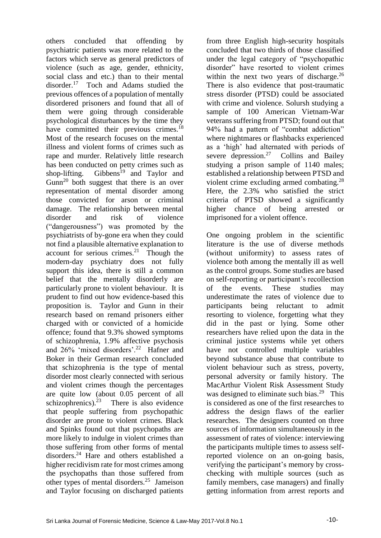others concluded that offending by psychiatric patients was more related to the factors which serve as general predictors of violence (such as age, gender, ethnicity, social class and etc.) than to their mental disorder.<sup>17</sup> Toch and Adams studied the previous offences of a population of mentally disordered prisoners and found that all of them were going through considerable psychological disturbances by the time they have committed their previous crimes.<sup>18</sup> Most of the research focuses on the mental illness and violent forms of crimes such as rape and murder. Relatively little research has been conducted on petty crimes such as shop-lifting. Gibbens<sup>19</sup> and Taylor and  $Gunn^{20}$  both suggest that there is an over representation of mental disorder among those convicted for arson or criminal damage. The relationship between mental disorder and risk of violence ("dangerousness") was promoted by the psychiatrists of by-gone era when they could not find a plausible alternative explanation to account for serious crimes. $21$  Though the modern-day psychiatry does not fully support this idea, there is still a common belief that the mentally disorderly are particularly prone to violent behaviour. It is prudent to find out how evidence-based this proposition is. Taylor and Gunn in their research based on remand prisoners either charged with or convicted of a homicide offence; found that 9.3% showed symptoms of schizophrenia, 1.9% affective psychosis and 26% 'mixed disorders'.<sup>22</sup> Hafner and Boker in their German research concluded that schizophrenia is the type of mental disorder most clearly connected with serious and violent crimes though the percentages are quite low (about 0.05 percent of all schizophrenics). $2^3$  There is also evidence that people suffering from psychopathic disorder are prone to violent crimes. Black and Spinks found out that psychopaths are more likely to indulge in violent crimes than those suffering from other forms of mental disorders.<sup>24</sup> Hare and others established a higher recidivism rate for most crimes among the psychopaths than those suffered from other types of mental disorders.<sup>25</sup> Jameison and Taylor focusing on discharged patients

from three English high-security hospitals concluded that two thirds of those classified under the legal category of "psychopathic disorder" have resorted to violent crimes within the next two years of discharge.<sup>26</sup> There is also evidence that post-traumatic stress disorder (PTSD) could be associated with crime and violence. Solursh studying a sample of 100 American Vietnam-War veterans suffering from PTSD; found out that 94% had a pattern of "combat addiction" where nightmares or flashbacks experienced as a 'high' had alternated with periods of severe depression.<sup>27</sup> Collins and Bailey studying a prison sample of 1140 males; established a relationship between PTSD and violent crime excluding armed combating.<sup>28</sup> Here, the 2.3% who satisfied the strict criteria of PTSD showed a significantly higher chance of being arrested or imprisoned for a violent offence.

One ongoing problem in the scientific literature is the use of diverse methods (without uniformity) to assess rates of violence both among the mentally ill as well as the control groups. Some studies are based on self-reporting or participant's recollection of the events. These studies may underestimate the rates of violence due to participants being reluctant to admit resorting to violence, forgetting what they did in the past or lying. Some other researchers have relied upon the data in the criminal justice systems while yet others have not controlled multiple variables beyond substance abuse that contribute to violent behaviour such as stress, poverty, personal adversity or family history. The MacArthur Violent Risk Assessment Study was designed to eliminate such bias.<sup>29</sup> This is considered as one of the first researches to address the design flaws of the earlier researches. The designers counted on three sources of information simultaneously in the assessment of rates of violence: interviewing the participants multiple times to assess selfreported violence on an on-going basis, verifying the participant's memory by crosschecking with multiple sources (such as family members, case managers) and finally getting information from arrest reports and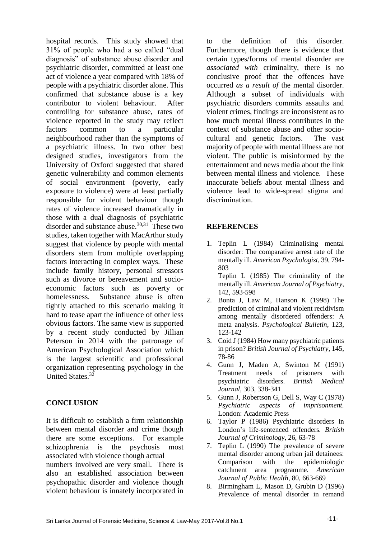hospital records. This study showed that 31% of people who had a so called "dual diagnosis" of substance abuse disorder and psychiatric disorder, committed at least one act of violence a year compared with 18% of people with a psychiatric disorder alone. This confirmed that substance abuse is a key contributor to violent behaviour. After controlling for substance abuse, rates of violence reported in the study may reflect factors common to a particular neighbourhood rather than the symptoms of a psychiatric illness. In two other best designed studies, investigators from the University of Oxford suggested that shared genetic vulnerability and common elements of social environment (poverty, early exposure to violence) were at least partially responsible for violent behaviour though rates of violence increased dramatically in those with a dual diagnosis of psychiatric disorder and substance abuse.<sup>30,31</sup> These two studies, taken together with MacArthur study suggest that violence by people with mental disorders stem from multiple overlapping factors interacting in complex ways. These include family history, personal stressors such as divorce or bereavement and socioeconomic factors such as poverty or homelessness. Substance abuse is often tightly attached to this scenario making it hard to tease apart the influence of other less obvious factors. The same view is supported by a recent study conducted by Jillian Peterson in 2014 with the patronage of American Psychological Association which is the largest scientific and professional organization representing psychology in the United States.<sup>32</sup>

# **CONCLUSION**

It is difficult to establish a firm relationship between mental disorder and crime though there are some exceptions. For example schizophrenia is the psychosis most associated with violence though actual numbers involved are very small. There is also an established association between psychopathic disorder and violence though violent behaviour is innately incorporated in

to the definition of this disorder. Furthermore, though there is evidence that certain types/forms of mental disorder are *associated with* criminality, there is no conclusive proof that the offences have occurred *as a result of* the mental disorder. Although a subset of individuals with psychiatric disorders commits assaults and violent crimes, findings are inconsistent as to how much mental illness contributes in the context of substance abuse and other sociocultural and genetic factors. The vast majority of people with mental illness are not violent. The public is misinformed by the entertainment and news media about the link between mental illness and violence. These inaccurate beliefs about mental illness and violence lead to wide-spread stigma and discrimination.

# **REFERENCES**

1. Teplin L (1984) Criminalising mental disorder: The comparative arrest rate of the mentally ill. *American Psychologist*, 39, 794- 803 Teplin L (1985) The criminality of the

mentally ill. *American Journal of Psychiatry*, 142, 593-598

- 2. Bonta J, Law M, Hanson K (1998) The prediction of criminal and violent recidivism among mentally disordered offenders: A meta analysis. *Psychological Bulletin*, 123, 123-142
- 3. Coid J (1984) How many psychiatric patients in prison? *British Journal of Psychiatry*, 145, 78-86
- 4. Gunn J, Maden A, Swinton M (1991) Treatment needs of prisoners with psychiatric disorders. *British Medical Journal*, 303, 338-341
- 5. Gunn J, Robertson G, Dell S, Way C (1978) *Psychiatric aspects of imprisonment.* London: Academic Press
- 6. Taylor P (1986) Psychiatric disorders in London's life-sentenced offenders*. British Journal of Criminology*, 26, 63-78
- 7. Teplin L (1990) The prevalence of severe mental disorder among urban jail detainees: Comparison with the epidemiologic catchment area programme. *American Journal of Public Health,* 80, 663-669
- 8. Birmingham L, Mason D, Grubin D (1996) Prevalence of mental disorder in remand